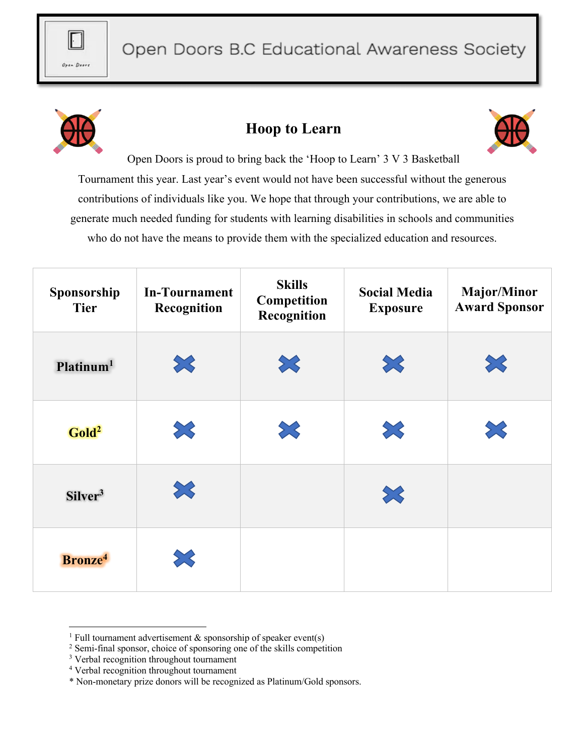



## **Hoop to Learn**



Open Doors is proud to bring back the 'Hoop to Learn' 3 V 3 Basketball Tournament this year. Last year's event would not have been successful without the generous contributions of individuals like you. We hope that through your contributions, we are able to generate much needed funding for students with learning disabilities in schools and communities who do not have the means to provide them with the specialized education and resources.

| Sponsorship<br><b>Tier</b> | <b>In-Tournament</b><br>Recognition | <b>Skills</b><br>Competition<br>Recognition | <b>Social Media</b><br><b>Exposure</b> | <b>Major/Minor</b><br><b>Award Sponsor</b> |
|----------------------------|-------------------------------------|---------------------------------------------|----------------------------------------|--------------------------------------------|
| Platinum <sup>1</sup>      | $\gg$                               | $\boldsymbol{\Sigma}$                       | 53                                     | X                                          |
| Gold <sup>2</sup>          | 3                                   | X                                           | X                                      | X                                          |
| Silver <sup>3</sup>        | $\gg$                               |                                             | X                                      |                                            |
| Bronze <sup>4</sup>        |                                     |                                             |                                        |                                            |

<sup>&</sup>lt;sup>1</sup> Full tournament advertisement  $\&$  sponsorship of speaker event(s)

<sup>2</sup> Semi-final sponsor, choice of sponsoring one of the skills competition

<sup>&</sup>lt;sup>3</sup> Verbal recognition throughout tournament

<sup>4</sup> Verbal recognition throughout tournament

<sup>\*</sup> Non-monetary prize donors will be recognized as Platinum/Gold sponsors.